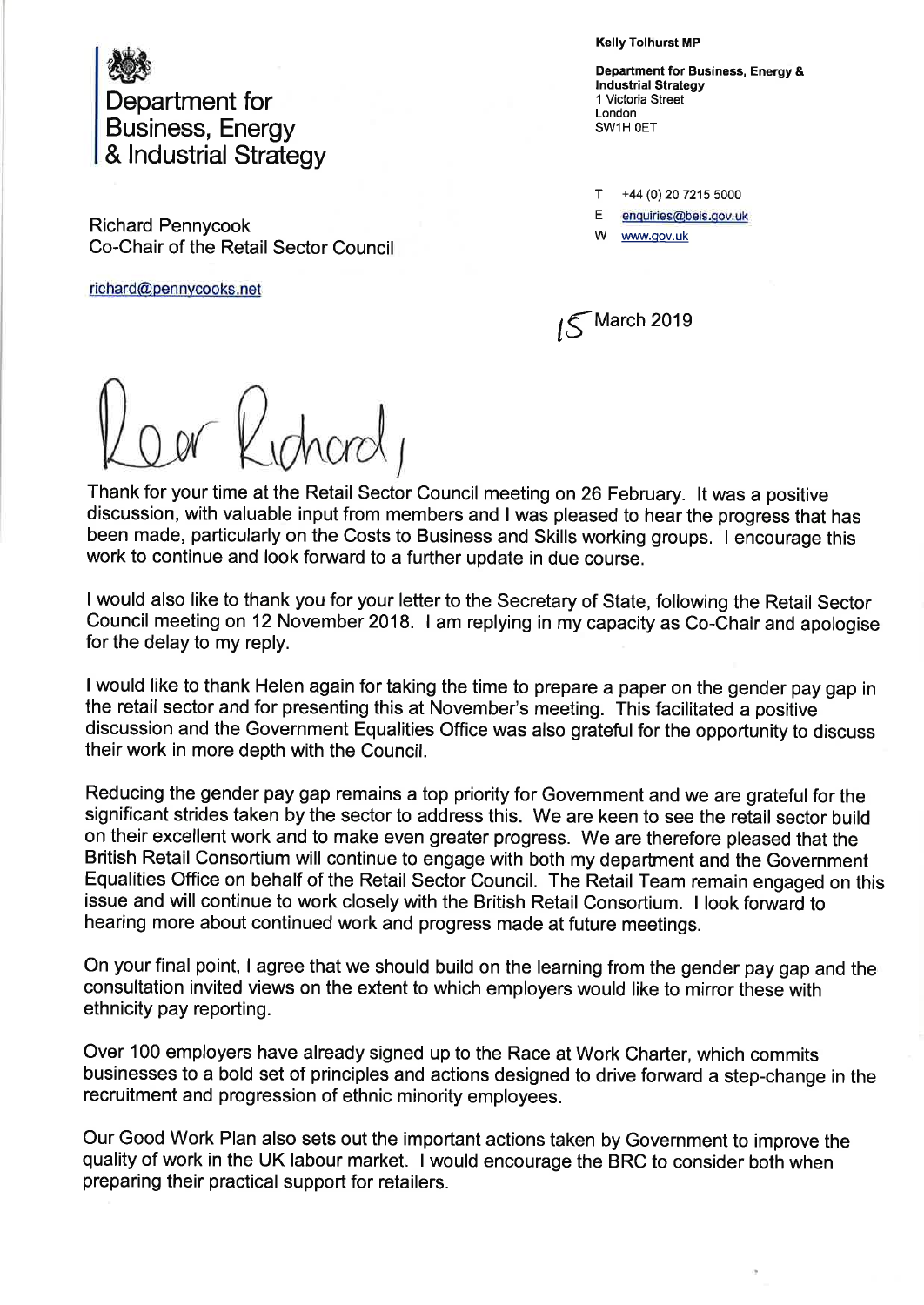

Richard Pennycook Co-Chair of the Retail Sector Council

richard@pennycooks.net

Kelly Tolhurst MP

Department for Business, Energy & lndustrial Strategy 1 Victoria Street London SW1H OET

T +44 (0) 20 7215 5000 E enquiries@beis.qov.uk

www.gov.uk

 $\sqrt{5}$ March 2019

Thank for your time at the Retail Sector Council meeting on 26 February. lt was a positive discussion, with valuable input from members and I was pleased to hear the progress that has been made, particularly on the Costs to Business and Skills working groups. I encourage this work to continue and look forward to a further update in due course.

<sup>I</sup>would also like to thank you for your letter to the Secretary of State, following the Retail Sector Council meeting on 12 November 2018. I am replying in my capacity as Co-Chair and apologise for the delay to my reply.

<sup>I</sup>would like to thank Helen again for taking the time to prepare a paper on the gender pay gap in the retail sector and for presenting this at November's meeting. This facilitated a positive discussion and the Government Equalities Office was also grateful for the opportunity to discuss their work in more depth with the Council.

Reducing the gender pay gap remains a top priority for Government and we are grateful for the significant strides taken by the sector to address this. We are keen to see the retail sector build on their excellent work and to make even greater progress. We are therefore pleased that the British Retail Consortium will continue to engage with both my department and the Government Equalities Office on behalf of the Retail Sector Council. The Retail Team remain engaged on this issue and will continue to work closely with the British Retail Consortium. I look fonruard to hearing more about continued work and progress made at future meetings.

On your final point, I agree that we should build on the learning from the gender pay gap and the consultation invited views on the extent to which employers would like to mirror these with ethnicity pay reporting.

Over 100 employers have already signed up to the Race at Work Charter, which commits businesses to a bold set of principles and actions designed to drive forward a step-change in the recruitment and progression of ethnic minority employees.

Our Good Work Plan also sets out the important actions taken by Government to improve the quality of work in the UK labour market. I would encourage the BRC to consider both when preparing their practical support for retailers.